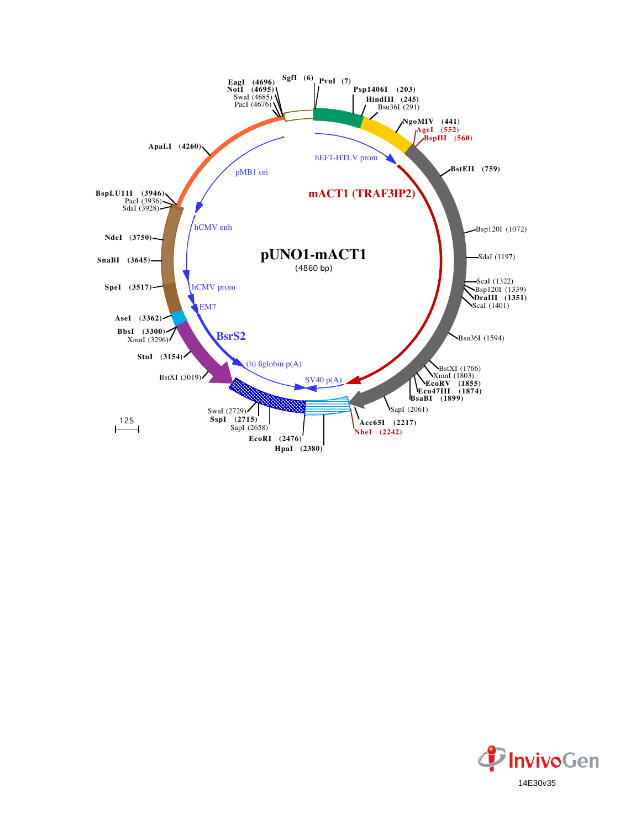

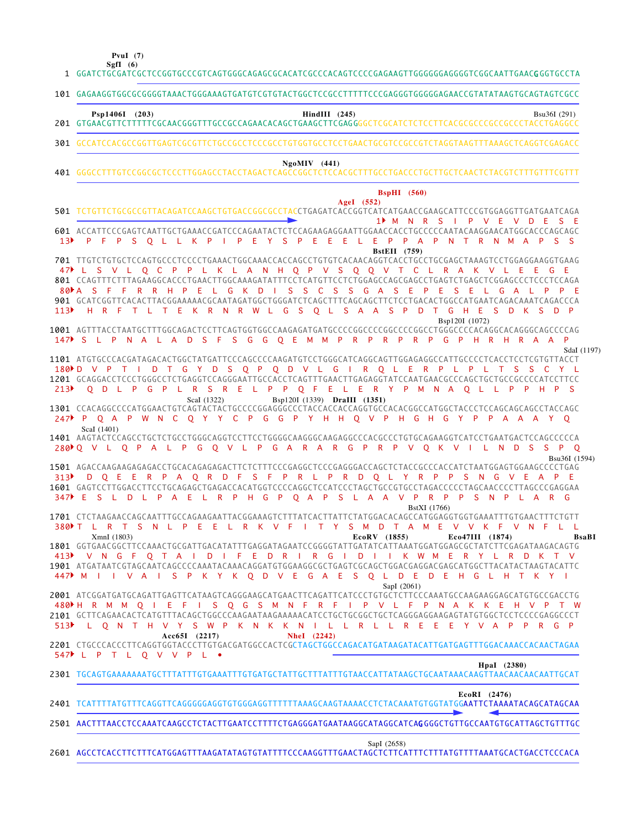|                          | PvuI $(7)$<br>SgfI $(6)$<br>1 GGATCTGCGATCGCTCCGGTGCCCGTCAGTGGGCAGAGCGCACATCGCCCACAGTCCCCGAGAAGTTGGGGGGAGGGTCGGCAATTGAACGGGTGCCTA                                                                                                                                                                                                                                                                                                                                                                                                                                                                  |
|--------------------------|----------------------------------------------------------------------------------------------------------------------------------------------------------------------------------------------------------------------------------------------------------------------------------------------------------------------------------------------------------------------------------------------------------------------------------------------------------------------------------------------------------------------------------------------------------------------------------------------------|
|                          | 101 GAGAAGGTGGCGCGGGGTAAACTGGGAAAGTGATGTCGTGTACTGGCTCCGCCTTTTTCCCGAGGGTGGGGAGAACCGTATATAAGTGCAGTAGTCGCC                                                                                                                                                                                                                                                                                                                                                                                                                                                                                            |
|                          | Psp1406I (203)<br>$HindIII$ (245)<br>Bsu36I (291)                                                                                                                                                                                                                                                                                                                                                                                                                                                                                                                                                  |
| 301                      | GCCATCCACGCCGGTTGAGTCGCGTTCTGCCGCCTCCCGCCTGTGGTGCCTCCTGAACTGCGTCCGCCGTCTAGGTAAGTTTAAAGCTCAGGTCGAGACC                                                                                                                                                                                                                                                                                                                                                                                                                                                                                               |
|                          | $NgoMIV$ (441)                                                                                                                                                                                                                                                                                                                                                                                                                                                                                                                                                                                     |
|                          | <b>BspHI</b> (560)<br>AgeI (552)<br>501 TCTGTTCTGCGCCGTTACAGATCCAAGCTGTGACCGGCGCCTACCTGAGATCACCGGTCATCATGAACCGAAGCATTCCCGTGGAGGTTGATGAATCAGA<br>1 ▶∶<br>M<br><b>N</b><br>R<br>S                                                                                                                                                                                                                                                                                                                                                                                                                    |
| 13 <sup>b</sup>          | 601 ACCATTCCCGAGTCAATTGCTGAAACCGATCCCAGAATACTCTCCAGAAGAGGAATTGGAACCACCTGCCCCCAATACAAGGAACATGGCACCCAGCAGC<br>Ε<br>S<br>Ε<br>F<br>P<br>P<br>S<br>$\mathsf{O}$<br>К<br>P<br>P<br>Ε<br>Y<br>P<br>R<br>P<br>s<br>-S<br>Δ<br>P<br>N<br>N<br>Δ<br>-L.<br>м                                                                                                                                                                                                                                                                                                                                                |
| $80$ $\uparrow$ A<br>113 | <b>BstEII</b> (759)<br>$\overline{O}$<br>N H Q P V<br><sub>S</sub><br>Q<br>$\overline{0}$<br>$\mathsf{V}$<br>T<br><b>C</b><br>- C<br>P<br>K L<br>$\overline{A}$<br>R<br>$\overline{A}$<br>K<br>л.<br>s<br><b>S</b><br>G<br>D<br>s<br>$\mathcal{C}$<br>s<br>s<br>G<br>S<br>F<br>901 GCATCGGTTCACACT<br>TACGGAAAAACGCAATAGATGGCTGGGATCTCAGCTTTCAGCAGCTTCTCCTGACACTGGCCATGAATCAGACAAATCAGACCCA<br>Η.<br>G<br>-S<br>S.<br>$\overline{A}$<br>P<br>S<br>D<br>K.<br>-S<br>P<br>R<br>F<br>Ε<br>R<br>-R<br>W<br>$\mathbf{O}$<br>$\overline{A}$<br>-S<br>G<br>D.<br>т<br>К<br><b>N</b><br>D<br>н<br>F<br>-11 |
| 147                      | Bsp120I (1072)<br>1001 AGTTTACCTAATGCTTTGGCAGACTCCTTCAGTGGTGGCCAAGAGATGATGCCCCGGCCCCGGCCCCGGCCTGGGCCCCACAGGCACAGGCAGCCCCAG<br>-S<br><sub>S</sub><br>P<br>D<br><sub>S</sub><br>F<br>G<br>G<br>$Q$ E<br>$\mathsf{R}$<br>P<br>R<br>P<br>P<br>P<br>$\mathbf{1}$<br>- P<br><b>N</b><br>A<br>$\overline{A}$<br>P<br>R<br>G<br>R<br>-R<br>$\Delta$<br>- A<br>M<br><b>M</b>                                                                                                                                                                                                                                |
|                          | SdaI (1197)<br>1101 ATGTGCCCACGATAGACACTGGCTATGATTCCCAGCCCCAAGATGTCCTGGGCATCAGGCAGTTGGAGAGGCCATTGCCCCTCACCTCCTCGTGTTACCT<br>$180 \text{ b}$ V<br>S<br>Q<br>D V L G<br>R O L<br>E.<br>R P<br>P.<br>Q<br>P<br>G<br>D<br><b>Table</b><br>S C<br>1201 GCAGGACCTCCCTGGGCCTCTGAGGTCCAGGGAATTGCCACCTCAGTTTGAACTTGAGAGGTATCCAATGAACGCCCAGCTGCTGCCGCCCCATCCTTCC                                                                                                                                                                                                                                             |

1301 CCACAGGCCCCATGGAACTGTCAGTACTACTGCCCCGGAGGGCCCTACCACCACCAGGTGCCACACGGCCATGGCTACCCTCCAGCAGCAGCCTACCAGC 1401 AAGTACTCCAGCCTGCTCTGCCTGGGCAGGTCCTTCCTGGGGCAAGGGCAAGAGGCCCACGCCCTGTGCAGAAGGTCATCCTGAATGACTCCAGCCCCCA 1501 AGACCAAGAAGAGAGACCTGCACAGAGAGACTTCTCTTTCCCGAGGCTCCCGAGGGACCAGCTCTACCGCCCACCATCTAATGGAGTGGAAGCCCCTGAG Q D L P G P L R S R E L P P Q F E L E R Y P M N A Q L L P P H P S P Q A P W N C Q Y Y C P G G P Y H H Q V P H G H G Y P P A A A Y Q 247 Q V L Q P A L P G Q V L P G A R A R G P R P V Q K V I L N D S S P Q 280 D Q E E R P A Q R D F S F P R L P R D Q L Y R P P S N G V E A P E 313 ScaI (1322) Bsp120I (1339) **DraIII (1351)** ScaI (1401) Bsu36I (1594)

 $213$ 

1601 GAGTCCTTGGACCTTCCTGCAGAGCTGAGACCACATGGTCCCCAGGCTCCATCCCTAGCTGCCGTGCCTAGACCCCCTAGCAACCCCTTAGCCCGAGGAA 1701 CTCTAAGAACCAGCAATTTGCCAGAAGAATTACGGAAAGTCTTTATCACTTATTCTATGGACACAGCCATGGAGGTGGTGAAATTTGTGAACTTTCTGTT GGTGAACGGCTTCCAAACTGCGATTGACATATTTGAGGATAGAATCCGGGGTATTGATATCATTAAATGGATGGAGCGCTATCTTCGAGATAAGACAGTG 1801 E S L D L P A E L R P H G P Q A P S L A A V P R P P S N P L A R G 347 380NT L R T S N L P E E L R K V F I T Y S M D T A M E V V K F V N F L L BstXI (1766) XmnI (1803) **EcoRV (1855) Eco47III (1874) BsaBI** 

1901 ATGATAATCGTAGCAATCAGCCCCAAATACAAACAGGATGTGGAAGGCGCTGAGTCGCAGCTGGACGAGGACGAGCATGGCTTACATACTAAGTACATTC V N G F Q T A I D I F E D R I R G I D I I K W M E R Y L R D K T V 413 M I I V A I S P K Y K Q D V E G A E S Q L D E D E H G L H T K Y I 447 SapI (2061)

2001 ATCGGATGATGCAGATTGAGTTCATAAGTCAGGGAAGCATGAACTTCAGATTCATCCCTGTGCTCTTCCCAAATGCCAAGAAGGAGCATGTGCCGACCTG 2101 GCTTCAGAACACTCATGTTTACAGCTGGCCCAAGAATAAGAAAAACATCCTGCTGCGGCTGCTCAGGGAGGAAGAGTATGTGGCTCCTCCCCGAGGCCCT 480 H R M M Q I E F I S Q G S M N F R F I P V L F P N A K K E H V P T W L Q N T H V Y S W P K N K K N I L L R L L R E E E Y V A P P R G P 513 **Acc65I (2217) NheI (2242)**

2201 CTGCCCACCCTTCAGGTGGTACCCTTGTGACGATGGCCACTCGCTAGCTGGCCAGACATGATAAGATACATTGATGAGTTTGGACAAACCACAACTAGAA L P T L Q V V P L • 547

**HpaI (2380)**

## 2301 TGCAGTGAAAAAAATGCTTTATTTGTGAAATTTGTGATGCTATTGCTTTATTTGTAACCATTATAAGCTGCAATAAACAAGTTAACAACAACAATTGCAT

**EcoRI (2476)**

## 2501 AACTTTAACCTCCAAATCAAGCCTCTACTTGAATCCTTTTCTGAGGGATGAATAAGGCATAGGCATCA**G**GGGCTGTTGCCAATGTGCATTAGCTGTTTGC

SapI (2658)

2601 AGCCTCACCTTCTTTCATGGAGTTTAAGATATAGTGTATTTTCCCAAGGTTTGAACTAGCTCTTCATTTCTTTATGTTTTAAATGCACTGACCTCCCACA

TCATTTTATGTTTCAGGTTCAGGGGGAGGTGTGGGAGGTTTTTTAAAGCAAGTAAAACCTCTACAAATGTGGTATGGAATTCTAAAATACAGCATAGCAA 2401  $\overline{\phantom{a}}$